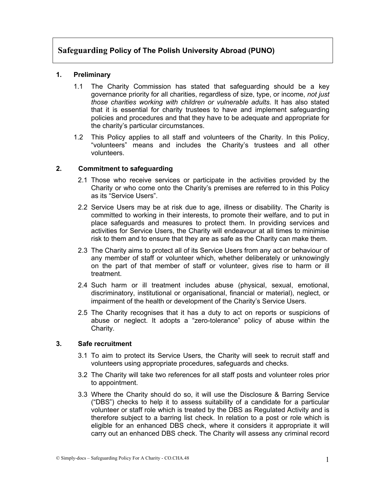# **Safeguarding Policy of The Polish University Abroad (PUNO)**

# **1. Preliminary**

- 1.1 The Charity Commission has stated that safeguarding should be a key governance priority for all charities, regardless of size, type, or income, *not just those charities working with children or vulnerable adults*. It has also stated that it is essential for charity trustees to have and implement safeguarding policies and procedures and that they have to be adequate and appropriate for the charity's particular circumstances.
- 1.2 This Policy applies to all staff and volunteers of the Charity. In this Policy, "volunteers" means and includes the Charity's trustees and all other volunteers.

## **2. Commitment to safeguarding**

- 2.1 Those who receive services or participate in the activities provided by the Charity or who come onto the Charity's premises are referred to in this Policy as its "Service Users".
- 2.2 Service Users may be at risk due to age, illness or disability. The Charity is committed to working in their interests, to promote their welfare, and to put in place safeguards and measures to protect them. In providing services and activities for Service Users, the Charity will endeavour at all times to minimise risk to them and to ensure that they are as safe as the Charity can make them.
- 2.3 The Charity aims to protect all of its Service Users from any act or behaviour of any member of staff or volunteer which, whether deliberately or unknowingly on the part of that member of staff or volunteer, gives rise to harm or ill treatment.
- 2.4 Such harm or ill treatment includes abuse (physical, sexual, emotional, discriminatory, institutional or organisational, financial or material), neglect, or impairment of the health or development of the Charity's Service Users.
- 2.5 The Charity recognises that it has a duty to act on reports or suspicions of abuse or neglect. It adopts a "zero-tolerance" policy of abuse within the Charity.

## **3. Safe recruitment**

- 3.1 To aim to protect its Service Users, the Charity will seek to recruit staff and volunteers using appropriate procedures, safeguards and checks.
- 3.2 The Charity will take two references for all staff posts and volunteer roles prior to appointment.
- 3.3 Where the Charity should do so, it will use the Disclosure & Barring Service ("DBS") checks to help it to assess suitability of a candidate for a particular volunteer or staff role which is treated by the DBS as Regulated Activity and is therefore subject to a barring list check. In relation to a post or role which is eligible for an enhanced DBS check, where it considers it appropriate it will carry out an enhanced DBS check. The Charity will assess any criminal record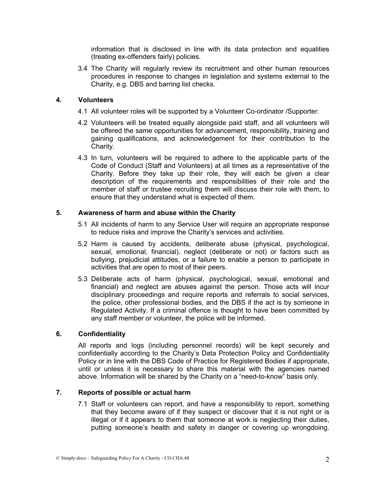information that is disclosed in line with its data protection and equalities (treating ex-offenders fairly) policies.

3.4 The Charity will regularly review its recruitment and other human resources procedures in response to changes in legislation and systems external to the Charity, e.g. DBS and barring list checks.

## **4. Volunteers**

- 4.1 All volunteer roles will be supported by a Volunteer Co-ordinator /Supporter.
- 4.2 Volunteers will be treated equally alongside paid staff, and all volunteers will be offered the same opportunities for advancement, responsibility, training and gaining qualifications, and acknowledgement for their contribution to the Charity.
- 4.3 In turn, volunteers will be required to adhere to the applicable parts of the Code of Conduct (Staff and Volunteers) at all times as a representative of the Charity. Before they take up their role, they will each be given a clear description of the requirements and responsibilities of their role and the member of staff or trustee recruiting them will discuss their role with them, to ensure that they understand what is expected of them.

## **5. Awareness of harm and abuse within the Charity**

- 5.1 All incidents of harm to any Service User will require an appropriate response to reduce risks and improve the Charity's services and activities.
- 5.2 Harm is caused by accidents, deliberate abuse (physical, psychological, sexual, emotional, financial), neglect (deliberate or not) or factors such as bullying, prejudicial attitudes, or a failure to enable a person to participate in activities that are open to most of their peers.
- 5.3 Deliberate acts of harm (physical, psychological, sexual, emotional and financial) and neglect are abuses against the person. Those acts will incur disciplinary proceedings and require reports and referrals to social services, the police, other professional bodies, and the DBS if the act is by someone in Regulated Activity. If a criminal offence is thought to have been committed by any staff member or volunteer, the police will be informed.

## **6. Confidentiality**

All reports and logs (including personnel records) will be kept securely and confidentially according to the Charity's Data Protection Policy and Confidentiality Policy or in line with the DBS Code of Practice for Registered Bodies if appropriate, until or unless it is necessary to share this material with the agencies named above. Information will be shared by the Charity on a "need-to-know" basis only.

## **7. Reports of possible or actual harm**

7.1 Staff or volunteers can report, and have a responsibility to report, something that they become aware of if they suspect or discover that it is not right or is illegal or if it appears to them that someone at work is neglecting their duties, putting someone's health and safety in danger or covering up wrongdoing.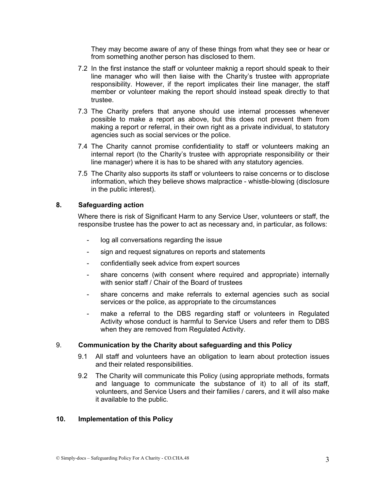They may become aware of any of these things from what they see or hear or from something another person has disclosed to them.

- 7.2 In the first instance the staff or volunteer maknig a report should speak to their line manager who will then liaise with the Charity's trustee with appropriate responsibility. However, if the report implicates their line manager, the staff member or volunteer making the report should instead speak directly to that trustee.
- 7.3 The Charity prefers that anyone should use internal processes whenever possible to make a report as above, but this does not prevent them from making a report or referral, in their own right as a private individual, to statutory agencies such as social services or the police.
- 7.4 The Charity cannot promise confidentiality to staff or volunteers making an internal report (to the Charity's trustee with appropriate responsibility or their line manager) where it is has to be shared with any statutory agencies.
- 7.5 The Charity also supports its staff or volunteers to raise concerns or to disclose information, which they believe shows malpractice - whistle-blowing (disclosure in the public interest).

### **8. Safeguarding action**

Where there is risk of Significant Harm to any Service User, volunteers or staff, the responsibe trustee has the power to act as necessary and, in particular, as follows:

- log all conversations regarding the issue
- sign and request signatures on reports and statements
- confidentially seek advice from expert sources
- share concerns (with consent where required and appropriate) internally with senior staff / Chair of the Board of trustees
- share concerns and make referrals to external agencies such as social services or the police, as appropriate to the circumstances
- make a referral to the DBS regarding staff or volunteers in Regulated Activity whose conduct is harmful to Service Users and refer them to DBS when they are removed from Regulated Activity.

## 9. **Communication by the Charity about safeguarding and this Policy**

- 9.1 All staff and volunteers have an obligation to learn about protection issues and their related responsibilities.
- 9.2 The Charity will communicate this Policy (using appropriate methods, formats and language to communicate the substance of it) to all of its staff, volunteers, and Service Users and their families / carers, and it will also make it available to the public.

### **10. Implementation of this Policy**